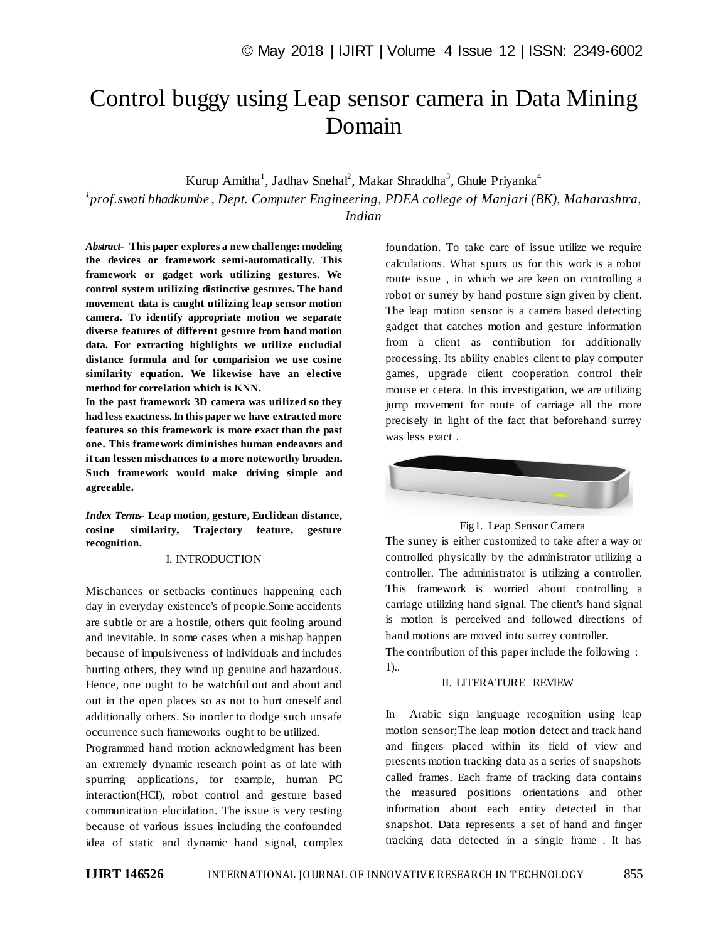# Control buggy using Leap sensor camera in Data Mining Domain

Kurup Amitha<sup>1</sup>, Jadhav Snehal<sup>2</sup>, Makar Shraddha<sup>3</sup>, Ghule Priyanka<sup>4</sup>

*1 prof.swati bhadkumbe , Dept. Computer Engineering, PDEA college of Manjari (BK), Maharashtra, Indian*

*Abstract*- **This paper explores a new challenge: modeling the devices or framework semi-automatically. This framework or gadget work utilizing gestures. We control system utilizing distinctive gestures. The hand movement data is caught utilizing leap sensor motion camera. To identify appropriate motion we separate diverse features of different gesture from hand motion data. For extracting highlights we utilize eucludial distance formula and for comparision we use cosine similarity equation. We likewise have an elective method for correlation which is KNN.** 

**In the past framework 3D camera was utilized so they had less exactness. In this paper we have extracted more features so this framework is more exact than the past one. This framework diminishes human endeavors and it can lessen mischances to a more noteworthy broaden. Such framework would make driving simple and agreeable.**

*Index Terms***- Leap motion, gesture, Euclidean distance, cosine similarity, Trajectory feature, gesture recognition.**

## I. INTRODUCTION

Mischances or setbacks continues happening each day in everyday existence's of people.Some accidents are subtle or are a hostile, others quit fooling around and inevitable. In some cases when a mishap happen because of impulsiveness of individuals and includes hurting others, they wind up genuine and hazardous. Hence, one ought to be watchful out and about and out in the open places so as not to hurt oneself and additionally others. So inorder to dodge such unsafe occurrence such frameworks ought to be utilized.

Programmed hand motion acknowledgment has been an extremely dynamic research point as of late with spurring applications, for example, human PC interaction(HCI), robot control and gesture based communication elucidation. The issue is very testing because of various issues including the confounded idea of static and dynamic hand signal, complex foundation. To take care of issue utilize we require calculations. What spurs us for this work is a robot route issue , in which we are keen on controlling a robot or surrey by hand posture sign given by client. The leap motion sensor is a camera based detecting gadget that catches motion and gesture information from a client as contribution for additionally processing. Its ability enables client to play computer games, upgrade client cooperation control their mouse et cetera. In this investigation, we are utilizing jump movement for route of carriage all the more precisely in light of the fact that beforehand surrey was less exact .



#### Fig1. Leap Sensor Camera

The surrey is either customized to take after a way or controlled physically by the administrator utilizing a controller. The administrator is utilizing a controller. This framework is worried about controlling a carriage utilizing hand signal. The client's hand signal is motion is perceived and followed directions of hand motions are moved into surrey controller.

The contribution of this paper include the following : 1)..

# II. LITERATURE REVIEW

In Arabic sign language recognition using leap motion sensor;The leap motion detect and track hand and fingers placed within its field of view and presents motion tracking data as a series of snapshots called frames. Each frame of tracking data contains the measured positions orientations and other information about each entity detected in that snapshot. Data represents a set of hand and finger tracking data detected in a single frame . It has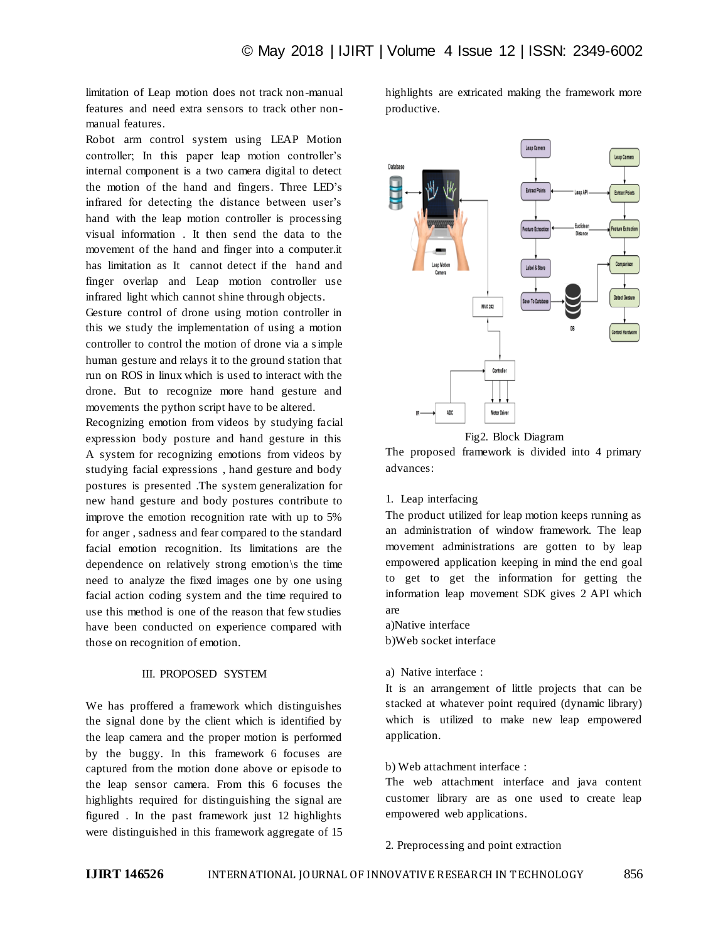limitation of Leap motion does not track non-manual features and need extra sensors to track other nonmanual features.

Robot arm control system using LEAP Motion controller; In this paper leap motion controller's internal component is a two camera digital to detect the motion of the hand and fingers. Three LED"s infrared for detecting the distance between user's hand with the leap motion controller is processing visual information . It then send the data to the movement of the hand and finger into a computer.it has limitation as It cannot detect if the hand and finger overlap and Leap motion controller use infrared light which cannot shine through objects.

Gesture control of drone using motion controller in this we study the implementation of using a motion controller to control the motion of drone via a simple human gesture and relays it to the ground station that run on ROS in linux which is used to interact with the drone. But to recognize more hand gesture and movements the python script have to be altered.

Recognizing emotion from videos by studying facial expression body posture and hand gesture in this A system for recognizing emotions from videos by studying facial expressions , hand gesture and body postures is presented .The system generalization for new hand gesture and body postures contribute to improve the emotion recognition rate with up to 5% for anger , sadness and fear compared to the standard facial emotion recognition. Its limitations are the dependence on relatively strong emotion\s the time need to analyze the fixed images one by one using facial action coding system and the time required to use this method is one of the reason that few studies have been conducted on experience compared with those on recognition of emotion.

# III. PROPOSED SYSTEM

We has proffered a framework which distinguishes the signal done by the client which is identified by the leap camera and the proper motion is performed by the buggy. In this framework 6 focuses are captured from the motion done above or episode to the leap sensor camera. From this 6 focuses the highlights required for distinguishing the signal are figured . In the past framework just 12 highlights were distinguished in this framework aggregate of 15 highlights are extricated making the framework more productive.





The proposed framework is divided into 4 primary advances:

#### 1. Leap interfacing

The product utilized for leap motion keeps running as an administration of window framework. The leap movement administrations are gotten to by leap empowered application keeping in mind the end goal to get to get the information for getting the information leap movement SDK gives 2 API which are

a)Native interface b)Web socket interface

#### a) Native interface :

It is an arrangement of little projects that can be stacked at whatever point required (dynamic library) which is utilized to make new leap empowered application.

#### b) Web attachment interface :

The web attachment interface and java content customer library are as one used to create leap empowered web applications.

#### 2. Preprocessing and point extraction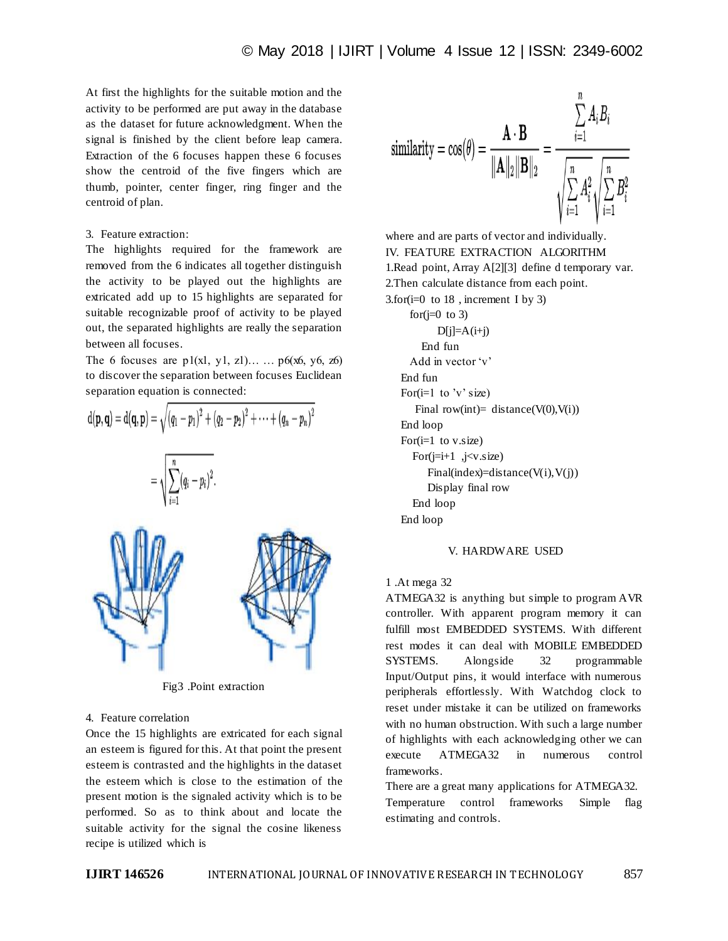At first the highlights for the suitable motion and the activity to be performed are put away in the database as the dataset for future acknowledgment. When the signal is finished by the client before leap camera. Extraction of the 6 focuses happen these 6 focuses show the centroid of the five fingers which are thumb, pointer, center finger, ring finger and the centroid of plan.

#### 3. Feature extraction:

The highlights required for the framework are removed from the 6 indicates all together distinguish the activity to be played out the highlights are extricated add up to 15 highlights are separated for suitable recognizable proof of activity to be played out, the separated highlights are really the separation between all focuses.

The 6 focuses are  $p1(x1, y1, z1)...$   $p6(x6, y6, z6)$ to discover the separation between focuses Euclidean separation equation is connected:



Fig3 .Point extraction

#### 4. Feature correlation

Once the 15 highlights are extricated for each signal an esteem is figured for this. At that point the present esteem is contrasted and the highlights in the dataset the esteem which is close to the estimation of the present motion is the signaled activity which is to be performed. So as to think about and locate the suitable activity for the signal the cosine likeness recipe is utilized which is



where and are parts of vector and individually. IV. FEATURE EXTRACTION ALGORITHM 1.Read point, Array A[2][3] define d temporary var. 2.Then calculate distance from each point. 3.for $(i=0 \text{ to } 18)$ , increment I by 3) for $(i=0 \text{ to } 3)$  $D[i]=A(i+j)$  End fun Add in vector 'v' End fun For $(i=1$  to 'v' size) Final row(int)= distance( $V(0)$ , $V(i)$ ) End loop For $(i=1$  to v.size) For $(i=i+1, j\lt v.size)$  $Finalindex) = distance(V(i), V(i))$  Display final row End loop End loop

# V. HARDWARE USED

#### 1 .At mega 32

ATMEGA32 is anything but simple to program AVR controller. With apparent program memory it can fulfill most EMBEDDED SYSTEMS. With different rest modes it can deal with MOBILE EMBEDDED SYSTEMS. Alongside 32 programmable Input/Output pins, it would interface with numerous peripherals effortlessly. With Watchdog clock to reset under mistake it can be utilized on frameworks with no human obstruction. With such a large number of highlights with each acknowledging other we can execute ATMEGA32 in numerous control frameworks.

There are a great many applications for ATMEGA32. Temperature control frameworks Simple flag estimating and controls.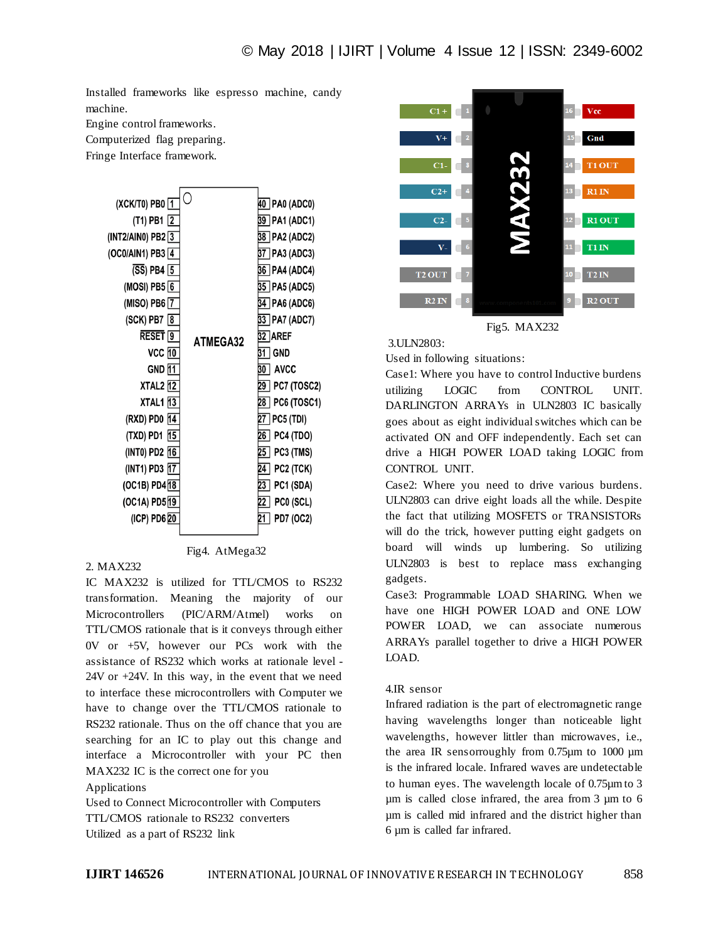Installed frameworks like espresso machine, candy machine.

Engine control frameworks.

Computerized flag preparing.

Fringe Interface framework.



# 2. MAX232

IC MAX232 is utilized for TTL/CMOS to RS232 transformation. Meaning the majority of our Microcontrollers (PIC/ARM/Atmel) works on TTL/CMOS rationale that is it conveys through either 0V or +5V, however our PCs work with the assistance of RS232 which works at rationale level - 24V or +24V. In this way, in the event that we need to interface these microcontrollers with Computer we have to change over the TTL/CMOS rationale to RS232 rationale. Thus on the off chance that you are searching for an IC to play out this change and interface a Microcontroller with your PC then MAX232 IC is the correct one for you Applications

Used to Connect Microcontroller with Computers TTL/CMOS rationale to RS232 converters Utilized as a part of RS232 link





### 3.ULN2803:

Used in following situations:

Case1: Where you have to control Inductive burdens utilizing LOGIC from CONTROL UNIT. DARLINGTON ARRAYs in ULN2803 IC basically goes about as eight individual switches which can be activated ON and OFF independently. Each set can drive a HIGH POWER LOAD taking LOGIC from CONTROL UNIT.

Case2: Where you need to drive various burdens. ULN2803 can drive eight loads all the while. Despite the fact that utilizing MOSFETS or TRANSISTORs will do the trick, however putting eight gadgets on board will winds up lumbering. So utilizing ULN2803 is best to replace mass exchanging gadgets.

Case3: Programmable LOAD SHARING. When we have one HIGH POWER LOAD and ONE LOW POWER LOAD, we can associate numerous ARRAYs parallel together to drive a HIGH POWER LOAD.

#### 4.IR sensor

Infrared radiation is the part of electromagnetic range having wavelengths longer than noticeable light wavelengths, however littler than microwaves, i.e., the area IR sensorroughly from 0.75µm to 1000 µm is the infrared locale. Infrared waves are undetectable to human eyes. The wavelength locale of 0.75µm to 3 µm is called close infrared, the area from 3 µm to 6 µm is called mid infrared and the district higher than 6 µm is called far infrared.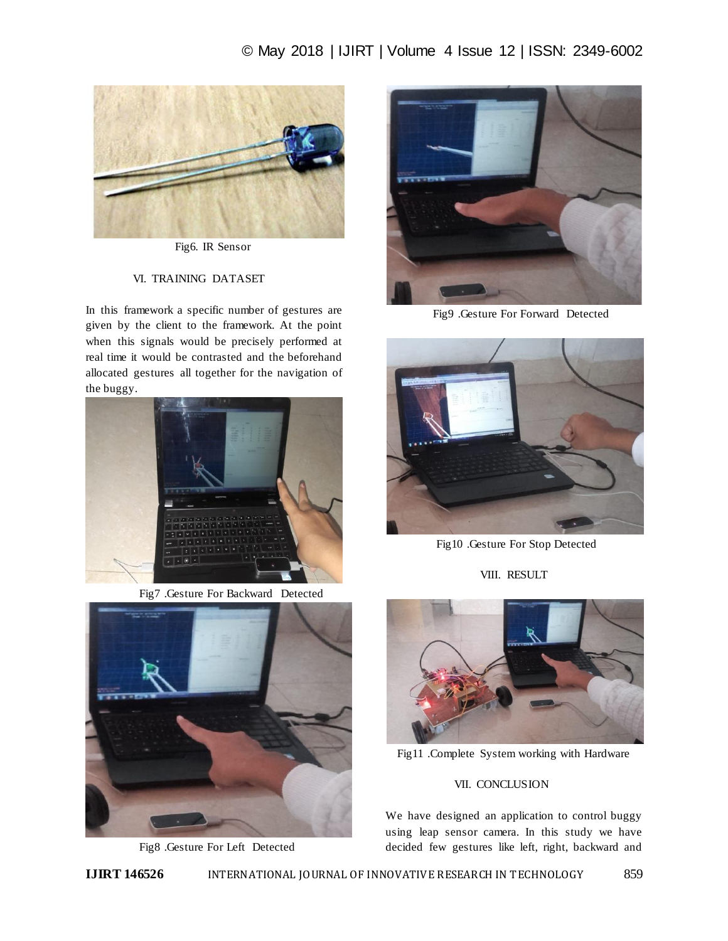# © May 2018 | IJIRT | Volume 4 Issue 12 | ISSN: 2349-6002



Fig6. IR Sensor

# VI. TRAINING DATASET

In this framework a specific number of gestures are given by the client to the framework. At the point when this signals would be precisely performed at real time it would be contrasted and the beforehand allocated gestures all together for the navigation of the buggy.



Fig7 .Gesture For Backward Detected



Fig8 .Gesture For Left Detected



Fig9 .Gesture For Forward Detected



Fig10 .Gesture For Stop Detected

VIII. RESULT



Fig11 .Complete System working with Hardware

# **VII. CONCLUSION**

We have designed an application to control buggy using leap sensor camera. In this study we have decided few gestures like left, right, backward and